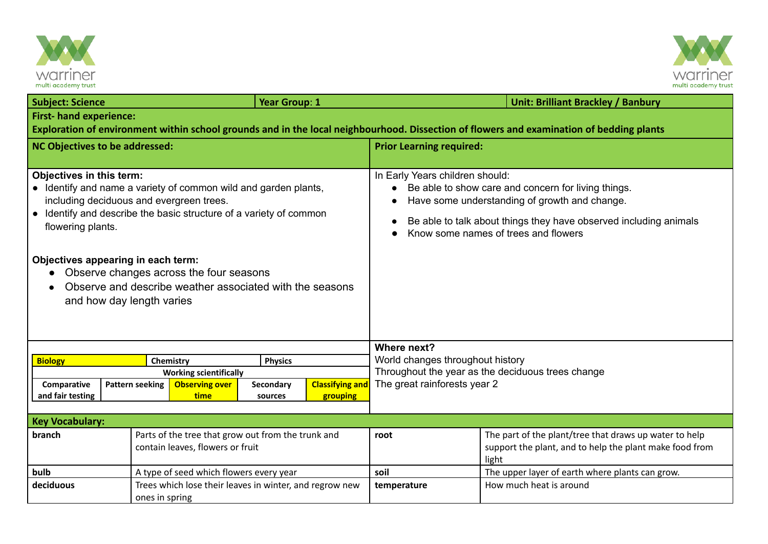



| <b>Subject: Science</b>                                                                                                                                                                                                                                                                                                                                                                                      |                        |                                                                                        | Year Group: 1        |                                    |                                                                                                                                                                                                                                                      | <b>Unit: Brilliant Brackley / Banbury</b>                                                                                  |  |  |  |
|--------------------------------------------------------------------------------------------------------------------------------------------------------------------------------------------------------------------------------------------------------------------------------------------------------------------------------------------------------------------------------------------------------------|------------------------|----------------------------------------------------------------------------------------|----------------------|------------------------------------|------------------------------------------------------------------------------------------------------------------------------------------------------------------------------------------------------------------------------------------------------|----------------------------------------------------------------------------------------------------------------------------|--|--|--|
| <b>First- hand experience:</b>                                                                                                                                                                                                                                                                                                                                                                               |                        |                                                                                        |                      |                                    |                                                                                                                                                                                                                                                      |                                                                                                                            |  |  |  |
| Exploration of environment within school grounds and in the local neighbourhood. Dissection of flowers and examination of bedding plants                                                                                                                                                                                                                                                                     |                        |                                                                                        |                      |                                    |                                                                                                                                                                                                                                                      |                                                                                                                            |  |  |  |
| <b>NC Objectives to be addressed:</b>                                                                                                                                                                                                                                                                                                                                                                        |                        |                                                                                        |                      |                                    | <b>Prior Learning required:</b>                                                                                                                                                                                                                      |                                                                                                                            |  |  |  |
|                                                                                                                                                                                                                                                                                                                                                                                                              |                        |                                                                                        |                      |                                    |                                                                                                                                                                                                                                                      |                                                                                                                            |  |  |  |
| Objectives in this term:<br>• Identify and name a variety of common wild and garden plants,<br>including deciduous and evergreen trees.<br>• Identify and describe the basic structure of a variety of common<br>flowering plants.<br>Objectives appearing in each term:<br>Observe changes across the four seasons<br>Observe and describe weather associated with the seasons<br>and how day length varies |                        |                                                                                        |                      |                                    | In Early Years children should:<br>Be able to show care and concern for living things.<br>Have some understanding of growth and change.<br>Be able to talk about things they have observed including animals<br>Know some names of trees and flowers |                                                                                                                            |  |  |  |
|                                                                                                                                                                                                                                                                                                                                                                                                              |                        |                                                                                        |                      |                                    | Where next?                                                                                                                                                                                                                                          |                                                                                                                            |  |  |  |
| <b>Biology</b>                                                                                                                                                                                                                                                                                                                                                                                               |                        | Chemistry<br><b>Physics</b>                                                            |                      |                                    | World changes throughout history                                                                                                                                                                                                                     |                                                                                                                            |  |  |  |
| <b>Working scientifically</b>                                                                                                                                                                                                                                                                                                                                                                                |                        |                                                                                        |                      |                                    | Throughout the year as the deciduous trees change<br>The great rainforests year 2                                                                                                                                                                    |                                                                                                                            |  |  |  |
| Comparative<br>and fair testing                                                                                                                                                                                                                                                                                                                                                                              | <b>Pattern seeking</b> | <b>Observing over</b><br>time                                                          | Secondary<br>sources | <b>Classifying and</b><br>grouping |                                                                                                                                                                                                                                                      |                                                                                                                            |  |  |  |
|                                                                                                                                                                                                                                                                                                                                                                                                              |                        |                                                                                        |                      |                                    |                                                                                                                                                                                                                                                      |                                                                                                                            |  |  |  |
| <b>Key Vocabulary:</b>                                                                                                                                                                                                                                                                                                                                                                                       |                        |                                                                                        |                      |                                    |                                                                                                                                                                                                                                                      |                                                                                                                            |  |  |  |
| branch                                                                                                                                                                                                                                                                                                                                                                                                       |                        | Parts of the tree that grow out from the trunk and<br>contain leaves, flowers or fruit |                      |                                    | root                                                                                                                                                                                                                                                 | The part of the plant/tree that draws up water to help<br>support the plant, and to help the plant make food from<br>light |  |  |  |
| bulb<br>A type of seed which flowers every year                                                                                                                                                                                                                                                                                                                                                              |                        |                                                                                        |                      | soil                               | The upper layer of earth where plants can grow.                                                                                                                                                                                                      |                                                                                                                            |  |  |  |
| deciduous                                                                                                                                                                                                                                                                                                                                                                                                    | ones in spring         | Trees which lose their leaves in winter, and regrow new                                |                      |                                    | temperature                                                                                                                                                                                                                                          | How much heat is around                                                                                                    |  |  |  |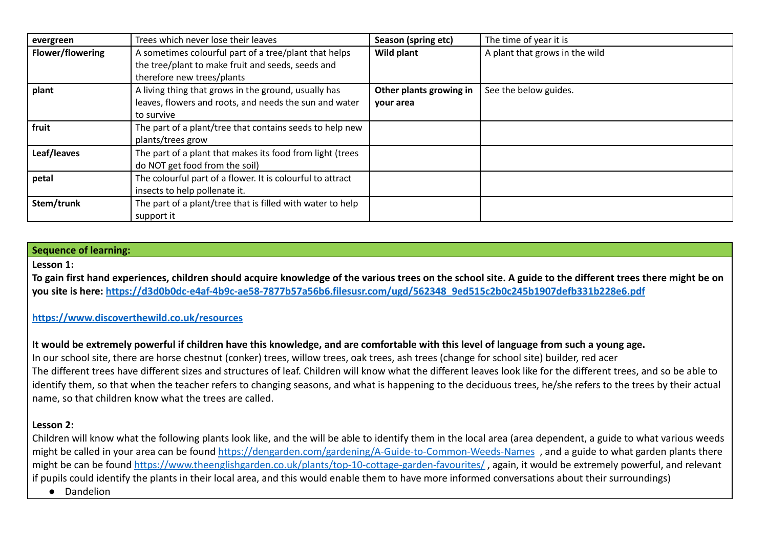| evergreen               | Trees which never lose their leaves                                                                                                      | Season (spring etc)                  | The time of year it is         |
|-------------------------|------------------------------------------------------------------------------------------------------------------------------------------|--------------------------------------|--------------------------------|
| <b>Flower/flowering</b> | A sometimes colourful part of a tree/plant that helps<br>the tree/plant to make fruit and seeds, seeds and<br>therefore new trees/plants | Wild plant                           | A plant that grows in the wild |
| plant                   | A living thing that grows in the ground, usually has<br>leaves, flowers and roots, and needs the sun and water<br>to survive             | Other plants growing in<br>your area | See the below guides.          |
| fruit                   | The part of a plant/tree that contains seeds to help new<br>plants/trees grow                                                            |                                      |                                |
| Leaf/leaves             | The part of a plant that makes its food from light (trees<br>do NOT get food from the soil)                                              |                                      |                                |
| petal                   | The colourful part of a flower. It is colourful to attract<br>insects to help pollenate it.                                              |                                      |                                |
| Stem/trunk              | The part of a plant/tree that is filled with water to help<br>support it                                                                 |                                      |                                |

# **Sequence of learning:**

#### **Lesson 1:**

**To gain first hand experiences, children should acquire knowledge of the various trees on the school site. A guide to the different trees there might be on you site is here: [https://d3d0b0dc-e4af-4b9c-ae58-7877b57a56b6.filesusr.com/ugd/562348\\_9ed515c2b0c245b1907defb331b228e6.pdf](https://d3d0b0dc-e4af-4b9c-ae58-7877b57a56b6.filesusr.com/ugd/562348_9ed515c2b0c245b1907defb331b228e6.pdf)**

# **<https://www.discoverthewild.co.uk/resources>**

# **It would be extremely powerful if children have this knowledge, and are comfortable with this level of language from such a young age.**

In our school site, there are horse chestnut (conker) trees, willow trees, oak trees, ash trees (change for school site) builder, red acer The different trees have different sizes and structures of leaf. Children will know what the different leaves look like for the different trees, and so be able to identify them, so that when the teacher refers to changing seasons, and what is happening to the deciduous trees, he/she refers to the trees by their actual name, so that children know what the trees are called.

#### **Lesson 2:**

Children will know what the following plants look like, and the will be able to identify them in the local area (area dependent, a guide to what various weeds might be called in your area can be found <https://dengarden.com/gardening/A-Guide-to-Common-Weeds-Names> , and a guide to what garden plants there might be can be found <https://www.theenglishgarden.co.uk/plants/top-10-cottage-garden-favourites/>, again, it would be extremely powerful, and relevant if pupils could identify the plants in their local area, and this would enable them to have more informed conversations about their surroundings)

● Dandelion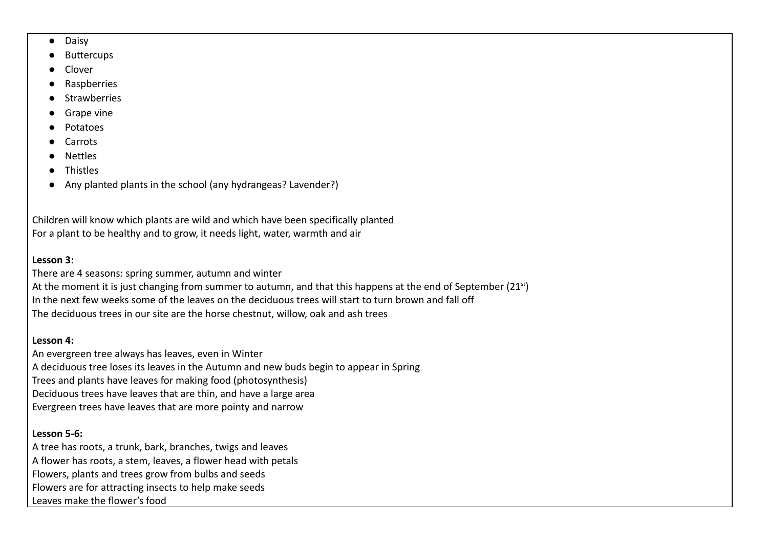- Daisy
- **Buttercups**
- **Clover**
- **Raspberries**
- **Strawberries**
- Grape vine
- Potatoes
- **Carrots**
- Nettles
- Thistles
- Any planted plants in the school (any hydrangeas? Lavender?)

Children will know which plants are wild and which have been specifically planted For a plant to be healthy and to grow, it needs light, water, warmth and air

# **Lesson 3:**

There are 4 seasons: spring summer, autumn and winter At the moment it is just changing from summer to autumn, and that this happens at the end of September (21<sup>st</sup>) In the next few weeks some of the leaves on the deciduous trees will start to turn brown and fall off The deciduous trees in our site are the horse chestnut, willow, oak and ash trees

# **Lesson 4:**

An evergreen tree always has leaves, even in Winter A deciduous tree loses its leaves in the Autumn and new buds begin to appear in Spring Trees and plants have leaves for making food (photosynthesis) Deciduous trees have leaves that are thin, and have a large area Evergreen trees have leaves that are more pointy and narrow

# **Lesson 5-6:**

A tree has roots, a trunk, bark, branches, twigs and leaves A flower has roots, a stem, leaves, a flower head with petals Flowers, plants and trees grow from bulbs and seeds Flowers are for attracting insects to help make seeds Leaves make the flower's food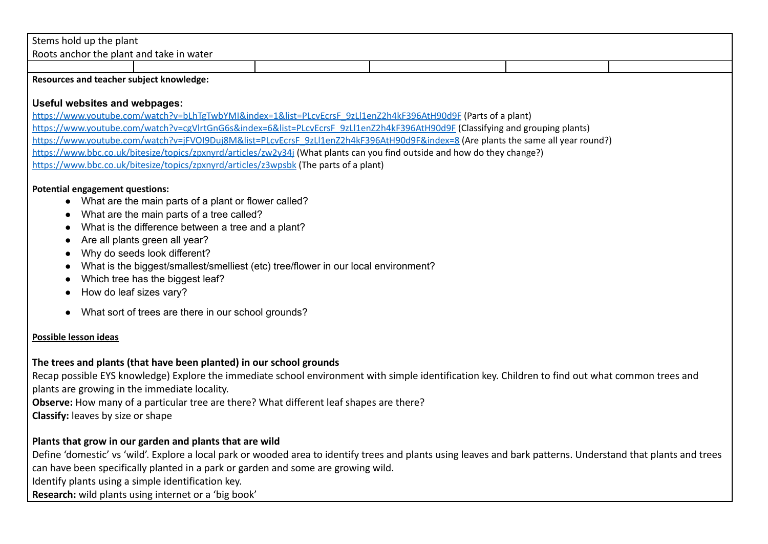# Stems hold up the plant

Roots anchor the plant and take in water

#### **Resources and teacher subject knowledge:**

#### **Useful websites and webpages:**

[https://www.youtube.com/watch?v=bLhTgTwbYMI&index=1&list=PLcvEcrsF\\_9zLl1enZ2h4kF396AtH90d9F](https://www.youtube.com/watch?v=bLhTgTwbYMI&index=1&list=PLcvEcrsF_9zLl1enZ2h4kF396AtH90d9F) (Parts of a plant) [https://www.youtube.com/watch?v=cgVlrtGnG6s&index=6&list=PLcvEcrsF\\_9zLl1enZ2h4kF396AtH90d9F](https://www.youtube.com/watch?v=cgVlrtGnG6s&index=6&list=PLcvEcrsF_9zLl1enZ2h4kF396AtH90d9F) (Classifying and grouping plants) [https://www.youtube.com/watch?v=jFVOI9Duj8M&list=PLcvEcrsF\\_9zLl1enZ2h4kF396AtH90d9F&index=8](https://www.youtube.com/watch?v=jFVOI9Duj8M&list=PLcvEcrsF_9zLl1enZ2h4kF396AtH90d9F&index=8) (Are plants the same all year round?) <https://www.bbc.co.uk/bitesize/topics/zpxnyrd/articles/zw2y34j> (What plants can you find outside and how do they change?) <https://www.bbc.co.uk/bitesize/topics/zpxnyrd/articles/z3wpsbk> (The parts of a plant)

#### **Potential engagement questions:**

- What are the main parts of a plant or flower called?
- What are the main parts of a tree called?
- What is the difference between a tree and a plant?
- Are all plants green all year?
- Why do seeds look different?
- What is the biggest/smallest/smelliest (etc) tree/flower in our local environment?
- Which tree has the biggest leaf?
- How do leaf sizes vary?
- What sort of trees are there in our school grounds?

#### **Possible lesson ideas**

#### **The trees and plants (that have been planted) in our school grounds**

Recap possible EYS knowledge) Explore the immediate school environment with simple identification key. Children to find out what common trees and plants are growing in the immediate locality.

**Observe:** How many of a particular tree are there? What different leaf shapes are there?

**Classify:** leaves by size or shape

# **Plants that grow in our garden and plants that are wild**

Define 'domestic' vs 'wild'. Explore a local park or wooded area to identify trees and plants using leaves and bark patterns. Understand that plants and trees can have been specifically planted in a park or garden and some are growing wild. Identify plants using a simple identification key.

**Research:** wild plants using internet or a 'big book'